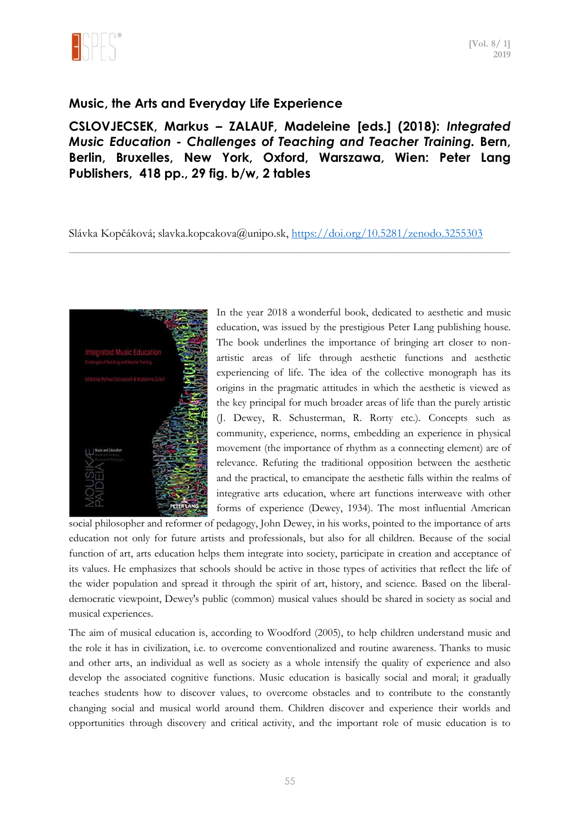

## **Music, the Arts and Everyday Life Experience**

**CSLOVJECSEK, Markus – ZALAUF, Madeleine [eds.] (2018):** *Integrated Music Education - Challenges of Teaching and Teacher Training.* **Bern, Berlin, Bruxelles, New York, Oxford, Warszawa, Wien: Peter Lang Publishers, 418 pp., 29 fig. b/w, 2 tables**

Slávka Kopčáková; slavka.kopcakova@unipo.sk,<https://doi.org/10.5281/zenodo.3255303>

\_\_\_\_\_\_\_\_\_\_\_\_\_\_\_\_\_\_\_\_\_\_\_\_\_\_\_\_\_\_\_\_\_\_\_\_\_\_\_\_\_\_\_\_\_\_\_\_\_\_\_\_\_\_\_\_\_\_\_\_\_\_\_\_\_\_\_\_\_\_\_\_\_\_\_\_\_\_\_\_\_\_\_\_\_\_\_\_\_\_\_\_\_\_\_\_\_\_\_\_\_\_\_\_\_\_\_\_\_\_\_\_\_\_\_\_\_\_\_\_\_\_\_\_\_\_\_\_\_\_\_\_\_\_\_\_\_\_\_\_\_\_\_\_\_\_\_\_\_\_\_



In the year 2018 a wonderful book, dedicated to aesthetic and music education, was issued by the prestigious Peter Lang publishing house. The book underlines the importance of bringing art closer to nonartistic areas of life through aesthetic functions and aesthetic experiencing of life. The idea of the collective monograph has its origins in the pragmatic attitudes in which the aesthetic is viewed as the key principal for much broader areas of life than the purely artistic (J. Dewey, R. Schusterman, R. Rorty etc.). Concepts such as community, experience, norms, embedding an experience in physical movement (the importance of rhythm as a connecting element) are of relevance. Refuting the traditional opposition between the aesthetic and the practical, to emancipate the aesthetic falls within the realms of integrative arts education, where art functions interweave with other forms of experience (Dewey, 1934). The most influential American

social philosopher and reformer of pedagogy, John Dewey, in his works, pointed to the importance of arts education not only for future artists and professionals, but also for all children. Because of the social function of art, arts education helps them integrate into society, participate in creation and acceptance of its values. He emphasizes that schools should be active in those types of activities that reflect the life of the wider population and spread it through the spirit of art, history, and science. Based on the liberaldemocratic viewpoint, Dewey's public (common) musical values should be shared in society as social and musical experiences.

The aim of musical education is, according to Woodford (2005), to help children understand music and the role it has in civilization, i.e. to overcome conventionalized and routine awareness. Thanks to music and other arts, an individual as well as society as a whole intensify the quality of experience and also develop the associated cognitive functions. Music education is basically social and moral; it gradually teaches students how to discover values, to overcome obstacles and to contribute to the constantly changing social and musical world around them. Children discover and experience their worlds and opportunities through discovery and critical activity, and the important role of music education is to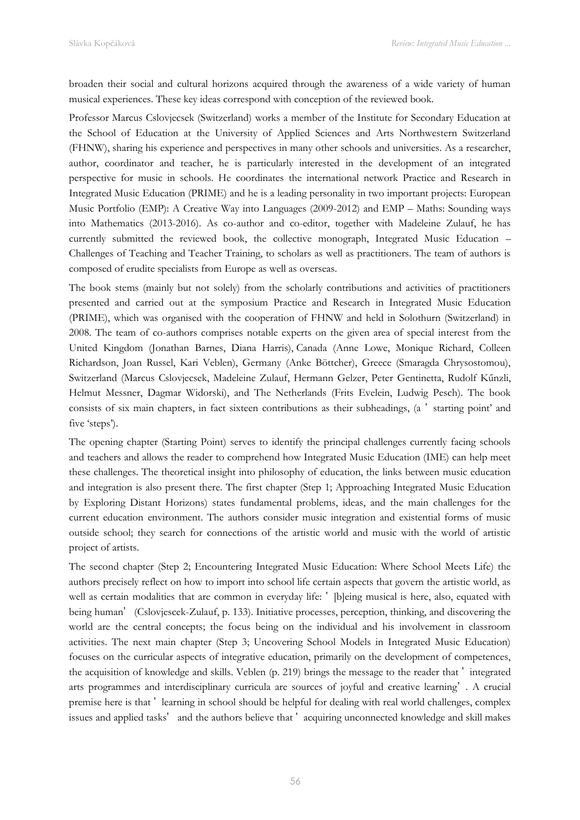broaden their social and cultural horizons acquired through the awareness of a wide variety of human musical experiences. These key ideas correspond with conception of the reviewed book.

Professor Marcus Cslovjecsek (Switzerland) works a member of the Institute for Secondary Education at the School of Education at the University of Applied Sciences and Arts Northwestern Switzerland (FHNW), sharing his experience and perspectives in many other schools and universities. As a researcher, author, coordinator and teacher, he is particularly interested in the development of an integrated perspective for music in schools. He coordinates the international network Practice and Research in Integrated Music Education (PRIME) and he is a leading personality in two important projects: European Music Portfolio (EMP): A Creative Way into Languages (2009-2012) and EMP – Maths: Sounding ways into Mathematics (2013-2016). As co-author and co-editor, together with Madeleine Zulauf, he has currently submitted the reviewed book, the collective monograph, Integrated Music Education – Challenges of Teaching and Teacher Training, to scholars as well as practitioners. The team of authors is composed of erudite specialists from Europe as well as overseas.

The book stems (mainly but not solely) from the scholarly contributions and activities of practitioners presented and carried out at the symposium Practice and Research in Integrated Music Education (PRIME), which was organised with the cooperation of FHNW and held in Solothurn (Switzerland) in 2008. The team of co-authors comprises notable experts on the given area of special interest from the United Kingdom (Jonathan Barnes, Diana Harris), Canada (Anne Lowe, Monique Richard, Colleen Richardson, Joan Russel, Kari Veblen), Germany (Anke Böttcher), Greece (Smaragda Chrysostomou), Switzerland (Marcus Cslovjecsek, Madeleine Zulauf, Hermann Gelzer, Peter Gentinetta, Rudolf Kűnzli, Helmut Messner, Dagmar Widorski), and The Netherlands (Frits Evelein, Ludwig Pesch). The book consists of six main chapters, in fact sixteen contributions as their subheadings, (a ' starting point' and five 'steps').

The opening chapter (Starting Point) serves to identify the principal challenges currently facing schools and teachers and allows the reader to comprehend how Integrated Music Education (IME) can help meet these challenges. The theoretical insight into philosophy of education, the links between music education and integration is also present there. The first chapter (Step 1; Approaching Integrated Music Education by Exploring Distant Horizons) states fundamental problems, ideas, and the main challenges for the current education environment. The authors consider music integration and existential forms of music outside school; they search for connections of the artistic world and music with the world of artistic project of artists.

The second chapter (Step 2; Encountering Integrated Music Education: Where School Meets Life) the authors precisely reflect on how to import into school life certain aspects that govern the artistic world, as well as certain modalities that are common in everyday life:  $\dot{\ }$  [b]eing musical is here, also, equated with being human' (Cslovjescek-Zulauf, p. 133). Initiative processes, perception, thinking, and discovering the world are the central concepts; the focus being on the individual and his involvement in classroom activities. The next main chapter (Step 3; Uncovering School Models in Integrated Music Education) focuses on the curricular aspects of integrative education, primarily on the development of competences, the acquisition of knowledge and skills. Veblen (p. 219) brings the message to the reader that  $\cdot$  integrated arts programmes and interdisciplinary curricula are sources of joyful and creative learning' . A crucial premise here is that ʽ learning in school should be helpful for dealing with real world challenges, complex issues and applied tasks' and the authors believe that 'acquiring unconnected knowledge and skill makes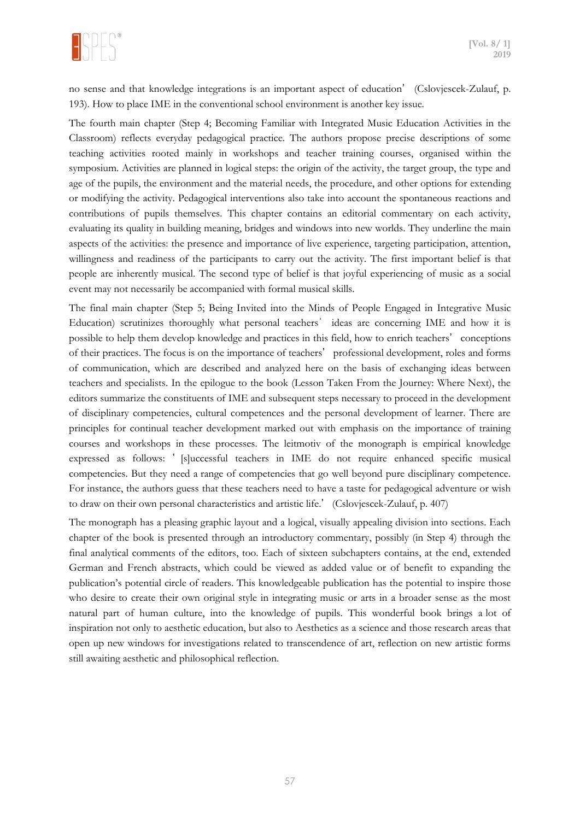

no sense and that knowledge integrations is an important aspect of education' (Cslovjescek-Zulauf, p. 193). How to place IME in the conventional school environment is another key issue.

The fourth main chapter (Step 4; Becoming Familiar with Integrated Music Education Activities in the Classroom) reflects everyday pedagogical practice. The authors propose precise descriptions of some teaching activities rooted mainly in workshops and teacher training courses, organised within the symposium. Activities are planned in logical steps: the origin of the activity, the target group, the type and age of the pupils, the environment and the material needs, the procedure, and other options for extending or modifying the activity. Pedagogical interventions also take into account the spontaneous reactions and contributions of pupils themselves. This chapter contains an editorial commentary on each activity, evaluating its quality in building meaning, bridges and windows into new worlds. They underline the main aspects of the activities: the presence and importance of live experience, targeting participation, attention, willingness and readiness of the participants to carry out the activity. The first important belief is that people are inherently musical. The second type of belief is that joyful experiencing of music as a social event may not necessarily be accompanied with formal musical skills.

The final main chapter (Step 5; Being Invited into the Minds of People Engaged in Integrative Music Education) scrutinizes thoroughly what personal teachers<sup>'</sup> ideas are concerning IME and how it is possible to help them develop knowledge and practices in this field, how to enrich teachers' conceptions of their practices. The focus is on the importance of teachers' professional development, roles and forms of communication, which are described and analyzed here on the basis of exchanging ideas between teachers and specialists. In the epilogue to the book (Lesson Taken From the Journey: Where Next), the editors summarize the constituents of IME and subsequent steps necessary to proceed in the development of disciplinary competencies, cultural competences and the personal development of learner. There are principles for continual teacher development marked out with emphasis on the importance of training courses and workshops in these processes. The leitmotiv of the monograph is empirical knowledge expressed as follows: ' [s]uccessful teachers in IME do not require enhanced specific musical competencies. But they need a range of competencies that go well beyond pure disciplinary competence. For instance, the authors guess that these teachers need to have a taste for pedagogical adventure or wish to draw on their own personal characteristics and artistic life.' (Cslovjescek-Zulauf, p. 407)

The monograph has a pleasing graphic layout and a logical, visually appealing division into sections. Each chapter of the book is presented through an introductory commentary, possibly (in Step 4) through the final analytical comments of the editors, too. Each of sixteen subchapters contains, at the end, extended German and French abstracts, which could be viewed as added value or of benefit to expanding the publication's potential circle of readers. This knowledgeable publication has the potential to inspire those who desire to create their own original style in integrating music or arts in a broader sense as the most natural part of human culture, into the knowledge of pupils. This wonderful book brings a lot of inspiration not only to aesthetic education, but also to Aesthetics as a science and those research areas that open up new windows for investigations related to transcendence of art, reflection on new artistic forms still awaiting aesthetic and philosophical reflection.